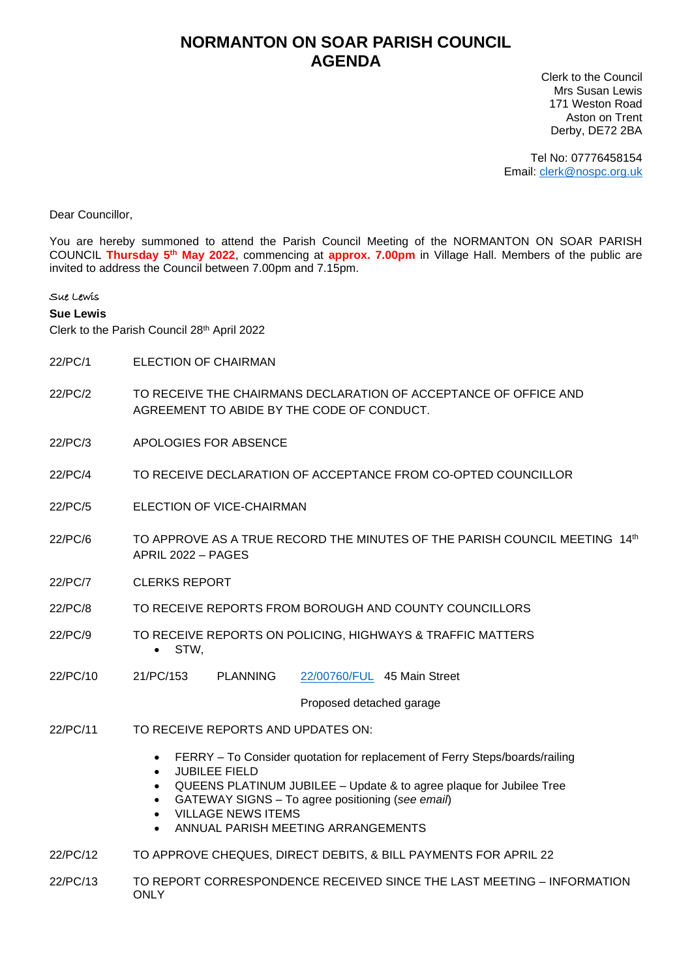## **NORMANTON ON SOAR PARISH COUNCIL AGENDA**

Clerk to the Council Mrs Susan Lewis 171 Weston Road Aston on Trent Derby, DE72 2BA

Tel No: 07776458154 Email: [clerk@nospc.org.uk](mailto:clerk@nospc.org.uk)

Dear Councillor,

You are hereby summoned to attend the Parish Council Meeting of the NORMANTON ON SOAR PARISH COUNCIL **Thursday 5 th May 2022**, commencing at **approx. 7.00pm** in Village Hall. Members of the public are invited to address the Council between 7.00pm and 7.15pm.

## Sue Lewis

## **Sue Lewis**

Clerk to the Parish Council 28th April 2022

- 22/PC/1 ELECTION OF CHAIRMAN
- 22/PC/2 TO RECEIVE THE CHAIRMANS DECLARATION OF ACCEPTANCE OF OFFICE AND AGREEMENT TO ABIDE BY THE CODE OF CONDUCT.
- 22/PC/3 APOLOGIES FOR ABSENCE
- 22/PC/4 TO RECEIVE DECLARATION OF ACCEPTANCE FROM CO-OPTED COUNCILLOR
- 22/PC/5 ELECTION OF VICE-CHAIRMAN
- 22/PC/6 TO APPROVE AS A TRUE RECORD THE MINUTES OF THE PARISH COUNCIL MEETING 14th APRIL 2022 – PAGES
- 22/PC/7 CLERKS REPORT
- 22/PC/8 TO RECEIVE REPORTS FROM BOROUGH AND COUNTY COUNCILLORS
- 22/PC/9 TO RECEIVE REPORTS ON POLICING, HIGHWAYS & TRAFFIC MATTERS • STW,
- 22/PC/10 21/PC/153 PLANNING [22/00760/FUL](https://planningon-line.rushcliffe.gov.uk/online-applications/simpleSearchResults.do?action=firstPage) 45 Main Street

Proposed detached garage

- 22/PC/11 TO RECEIVE REPORTS AND UPDATES ON:
	- FERRY To Consider quotation for replacement of Ferry Steps/boards/railing
	- JUBILEE FIELD
	- QUEENS PLATINUM JUBILEE Update & to agree plaque for Jubilee Tree
	- GATEWAY SIGNS To agree positioning (*see email*)
	- VILLAGE NEWS ITEMS
	- ANNUAL PARISH MEETING ARRANGEMENTS
- 22/PC/12 TO APPROVE CHEQUES, DIRECT DEBITS, & BILL PAYMENTS FOR APRIL 22
- 22/PC/13 TO REPORT CORRESPONDENCE RECEIVED SINCE THE LAST MEETING INFORMATION **ONLY**